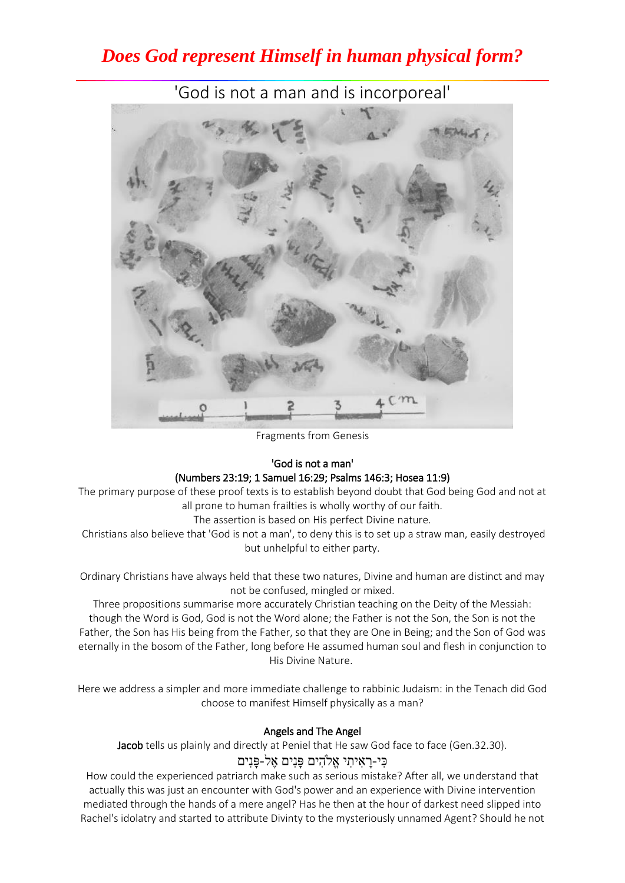# *Does God represent Himself in human physical form?*



# 'God is not a man and is incorporeal'

Fragments from Genesis

#### 'God is not a man' (Numbers 23:19; 1 Samuel 16:29; Psalms 146:3; Hosea 11:9)

The primary purpose of these proof texts is to establish beyond doubt that God being God and not at all prone to human frailties is wholly worthy of our faith.

The assertion is based on His perfect Divine nature.

Christians also believe that 'God is not a man', to deny this is to set up a straw man, easily destroyed but unhelpful to either party.

Ordinary Christians have always held that these two natures, Divine and human are distinct and may not be confused, mingled or mixed.

Three propositions summarise more accurately Christian teaching on the Deity of the Messiah: though the Word is God, God is not the Word alone; the Father is not the Son, the Son is not the Father, the Son has His being from the Father, so that they are One in Being; and the Son of God was eternally in the bosom of the Father, long before He assumed human soul and flesh in conjunction to His Divine Nature.

Here we address a simpler and more immediate challenge to rabbinic Judaism: in the Tenach did God choose to manifest Himself physically as a man?

#### Angels and The Angel

Jacob tells us plainly and directly at Peniel that He saw God face to face (Gen.32.30). כִּי-רָ אִּיתִּי אֱֹלהִּים פָנִּים אֶל-פָנִּים

How could the experienced patriarch make such as serious mistake? After all, we understand that actually this was just an encounter with God's power and an experience with Divine intervention mediated through the hands of a mere angel? Has he then at the hour of darkest need slipped into Rachel's idolatry and started to attribute Divinty to the mysteriously unnamed Agent? Should he not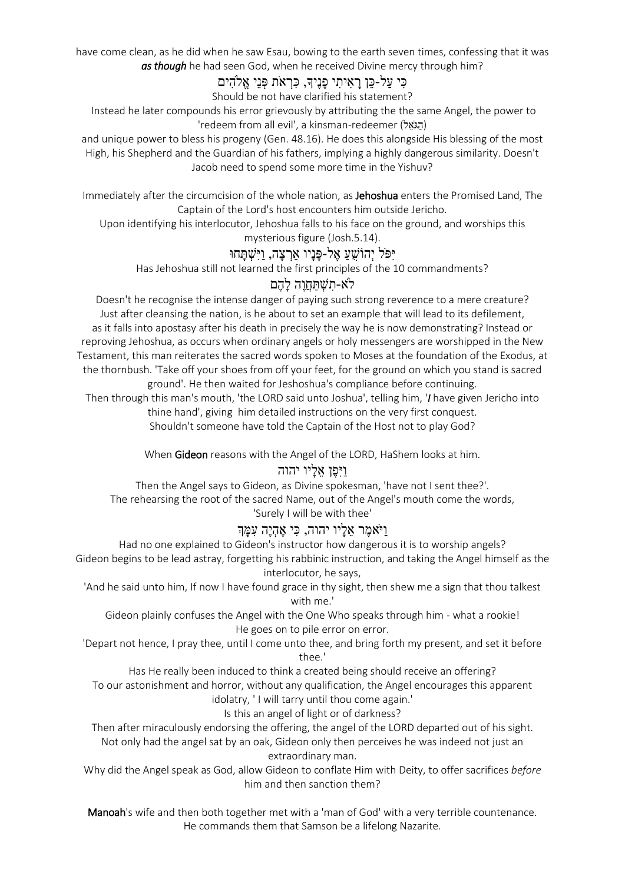have come clean, as he did when he saw Esau, bowing to the earth seven times, confessing that it was as though he had seen God, when he received Divine mercy through him?

# כִּי עַל-כֵּן רָ אִּיתִּי פָנֶיָך, כִּ רְ א ֹת פְנֵּי אֱֹלהִּים

Should be not have clarified his statement?

Instead he later compounds his error grievously by attributing the the same Angel, the power to 'redeem from all evil', a kinsman-redeemer (לֵּאֹ גַה (

and unique power to bless his progeny (Gen. 48.16). He does this alongside His blessing of the most High, his Shepherd and the Guardian of his fathers, implying a highly dangerous similarity. Doesn't Jacob need to spend some more time in the Yishuv?

Immediately after the circumcision of the whole nation, as Jehoshua enters the Promised Land, The Captain of the Lord's host encounters him outside Jericho.

Upon identifying his interlocutor, Jehoshua falls to his face on the ground, and worships this mysterious figure (Josh.5.14).

#### יִפֿל יְהוֹשָׁעַ אֱל-פַּנַיו אַרְצַה, וַיִּּשָׁתַּחוּ

Has Jehoshua still not learned the first principles of the 10 commandments?

## ֹלא-תִּשְתַחֲוֶה לָהֶם

Doesn't he recognise the intense danger of paying such strong reverence to a mere creature? Just after cleansing the nation, is he about to set an example that will lead to its defilement, as it falls into apostasy after his death in precisely the way he is now demonstrating? Instead or reproving Jehoshua, as occurs when ordinary angels or holy messengers are worshipped in the New Testament, this man reiterates the sacred words spoken to Moses at the foundation of the Exodus, at the thornbush. 'Take off your shoes from off your feet, for the ground on which you stand is sacred ground'. He then waited for Jeshoshua's compliance before continuing.

Then through this man's mouth, 'the LORD said unto Joshua', telling him, '*I* have given Jericho into thine hand', giving him detailed instructions on the very first conquest. Shouldn't someone have told the Captain of the Host not to play God?

When Gideon reasons with the Angel of the LORD, HaShem looks at him.

## וַיִּפֶן אֵּלָיו יהוה

Then the Angel says to Gideon, as Divine spokesman, 'have not I sent thee?'. The rehearsing the root of the sacred Name, out of the Angel's mouth come the words, 'Surely I will be with thee'

#### וַי ֹאמֶר אֵּלָיו יהוה, כִּי אֶהְיֶה עִּמְָך

Had no one explained to Gideon's instructor how dangerous it is to worship angels? Gideon begins to be lead astray, forgetting his rabbinic instruction, and taking the Angel himself as the interlocutor, he says,

'And he said unto him, If now I have found grace in thy sight, then shew me a sign that thou talkest with me.'

Gideon plainly confuses the Angel with the One Who speaks through him - what a rookie! He goes on to pile error on error.

'Depart not hence, I pray thee, until I come unto thee, and bring forth my present, and set it before thee.'

Has He really been induced to think a created being should receive an offering? To our astonishment and horror, without any qualification, the Angel encourages this apparent idolatry, ' I will tarry until thou come again.'

Is this an angel of light or of darkness?

Then after miraculously endorsing the offering, the angel of the LORD departed out of his sight. Not only had the angel sat by an oak, Gideon only then perceives he was indeed not just an

extraordinary man.

Why did the Angel speak as God, allow Gideon to conflate Him with Deity, to offer sacrifices *before* him and then sanction them?

Manoah's wife and then both together met with a 'man of God' with a very terrible countenance. He commands them that Samson be a lifelong Nazarite.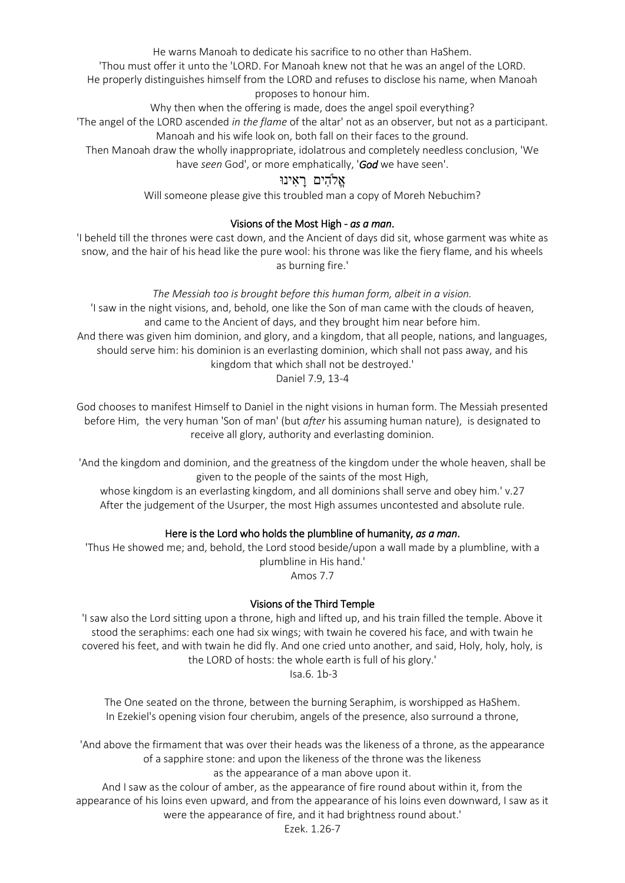He warns Manoah to dedicate his sacrifice to no other than HaShem. 'Thou must offer it unto the 'LORD. For Manoah knew not that he was an angel of the LORD. He properly distinguishes himself from the LORD and refuses to disclose his name, when Manoah proposes to honour him.

Why then when the offering is made, does the angel spoil everything?

'The angel of the LORD ascended *in the flame* of the altar' not as an observer, but not as a participant. Manoah and his wife look on, both fall on their faces to the ground.

Then Manoah draw the wholly inappropriate, idolatrous and completely needless conclusion, 'We have *seen* God', or more emphatically, '*God* we have seen'.

אלהים ראינוּ

Will someone please give this troubled man a copy of Moreh Nebuchim?

#### Visions of the Most High - *as a man*.

'I beheld till the thrones were cast down, and the Ancient of days did sit, whose garment was white as snow, and the hair of his head like the pure wool: his throne was like the fiery flame, and his wheels as burning fire.'

*The Messiah too is brought before this human form, albeit in a vision.*

'I saw in the night visions, and, behold, one like the Son of man came with the clouds of heaven, and came to the Ancient of days, and they brought him near before him.

And there was given him dominion, and glory, and a kingdom, that all people, nations, and languages, should serve him: his dominion is an everlasting dominion, which shall not pass away, and his kingdom that which shall not be destroyed.'

Daniel 7.9, 13-4

God chooses to manifest Himself to Daniel in the night visions in human form. The Messiah presented before Him, the very human 'Son of man' (but *after* his assuming human nature), is designated to receive all glory, authority and everlasting dominion.

'And the kingdom and dominion, and the greatness of the kingdom under the whole heaven, shall be given to the people of the saints of the most High,

whose kingdom is an everlasting kingdom, and all dominions shall serve and obey him.' v.27 After the judgement of the Usurper, the most High assumes uncontested and absolute rule.

#### Here is the Lord who holds the plumbline of humanity, *as a man*.

'Thus He showed me; and, behold, the Lord stood beside/upon a wall made by a plumbline, with a plumbline in His hand.'

Amos 7.7

#### Visions of the Third Temple

'I saw also the Lord sitting upon a throne, high and lifted up, and his train filled the temple. Above it stood the seraphims: each one had six wings; with twain he covered his face, and with twain he covered his feet, and with twain he did fly. And one cried unto another, and said, Holy, holy, holy, is the LORD of hosts: the whole earth is full of his glory.'

Isa.6. 1b-3

The One seated on the throne, between the burning Seraphim, is worshipped as HaShem. In Ezekiel's opening vision four cherubim, angels of the presence, also surround a throne,

'And above the firmament that was over their heads was the likeness of a throne, as the appearance of a sapphire stone: and upon the likeness of the throne was the likeness as the appearance of a man above upon it.

And I saw as the colour of amber, as the appearance of fire round about within it, from the appearance of his loins even upward, and from the appearance of his loins even downward, I saw as it were the appearance of fire, and it had brightness round about.'

Ezek. 1.26-7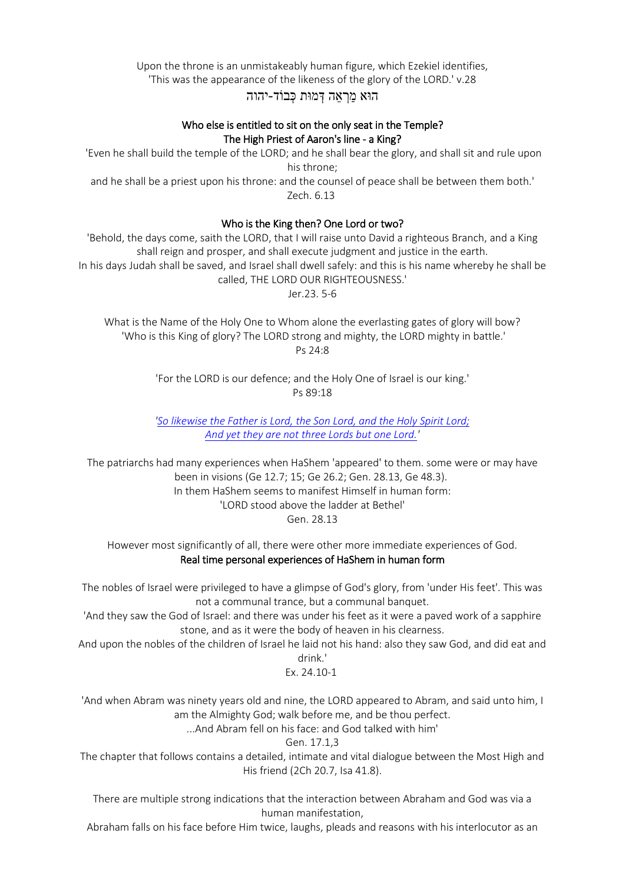Upon the throne is an unmistakeably human figure, which Ezekiel identifies, 'This was the appearance of the likeness of the glory of the LORD.' v.28

#### הּוא מַרְ אֵּה דְמּות כְבֹוד-יהוה

#### Who else is entitled to sit on the only seat in the Temple? The High Priest of Aaron's line - a King?

'Even he shall build the temple of the LORD; and he shall bear the glory, and shall sit and rule upon his throne; and he shall be a priest upon his throne: and the counsel of peace shall be between them both.' Zech. 6.13

#### Who is the King then? One Lord or two?

'Behold, the days come, saith the LORD, that I will raise unto David a righteous Branch, and a King shall reign and prosper, and shall execute judgment and justice in the earth. In his days Judah shall be saved, and Israel shall dwell safely: and this is his name whereby he shall be called, THE LORD OUR RIGHTEOUSNESS.'

Jer.23. 5-6

What is the Name of the Holy One to Whom alone the everlasting gates of glory will bow? 'Who is this King of glory? The LORD strong and mighty, the LORD mighty in battle.' Ps 24:8

> 'For the LORD is our defence; and the Holy One of Israel is our king.' Ps 89:18

> *['So likewise the Father is Lord, the Son Lord, and the Holy Spirit Lord;](http://www.strateias.org/athanasian.htm) [And yet they are not three Lords but one Lord.'](http://www.strateias.org/athanasian.htm)*

The patriarchs had many experiences when HaShem 'appeared' to them. some were or may have been in visions (Ge 12.7; 15; Ge 26.2; Gen. 28.13, Ge 48.3). In them HaShem seems to manifest Himself in human form: 'LORD stood above the ladder at Bethel' Gen. 28.13

However most significantly of all, there were other more immediate experiences of God. Real time personal experiences of HaShem in human form

The nobles of Israel were privileged to have a glimpse of God's glory, from 'under His feet'. This was not a communal trance, but a communal banquet.

'And they saw the God of Israel: and there was under his feet as it were a paved work of a sapphire stone, and as it were the body of heaven in his clearness.

And upon the nobles of the children of Israel he laid not his hand: also they saw God, and did eat and drink.'

#### Ex. 24.10-1

'And when Abram was ninety years old and nine, the LORD appeared to Abram, and said unto him, I am the Almighty God; walk before me, and be thou perfect.

...And Abram fell on his face: and God talked with him'

Gen. 17.1,3

The chapter that follows contains a detailed, intimate and vital dialogue between the Most High and His friend (2Ch 20.7, Isa 41.8).

There are multiple strong indications that the interaction between Abraham and God was via a human manifestation,

Abraham falls on his face before Him twice, laughs, pleads and reasons with his interlocutor as an